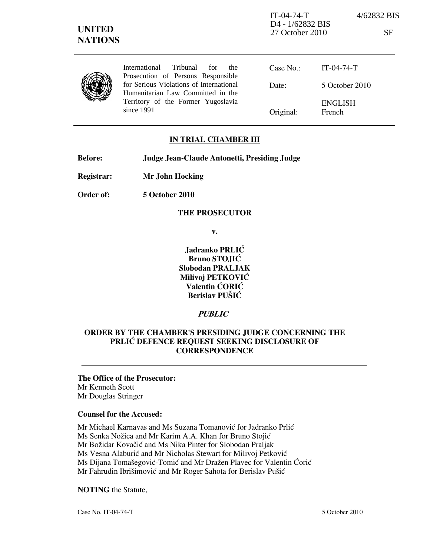| <b>UNITED</b> | <b>NATIONS</b>                                                                       |              | $IT-04-74-T$<br>D <sub>4</sub> - 1/62832 BIS<br>27 October 2010 | 4/62832 BIS<br>SF |
|---------------|--------------------------------------------------------------------------------------|--------------|-----------------------------------------------------------------|-------------------|
|               | <b>International</b><br>Tribunal<br>for<br>the<br>Prosecution of Persons Responsible | Case $No.$ : | $IT-04-74-T$                                                    |                   |
|               | for Serious Violations of International<br>Humanitarian Law Committed in the         | Date:        | 5 October 2010                                                  |                   |
|               | Territory of the Former Yugoslavia<br>since 1991                                     | Original:    | <b>ENGLISH</b><br>French                                        |                   |

### IN TRIAL CHAMBER III

- Before: Judge Jean-Claude Antonetti, Presiding Judge
- Registrar: Mr John Hocking

Order of: 5 October 2010

#### THE PROSECUTOR

v.

 $J$ adranko PRLI $\acute{C}$ Bruno STOJIĆ Slobodan PRALJAK Milivoj PETKOVIĆ Valentin ĆORIĆ Berislav PUŠIĆ

PUBLIC

# ORDER BY THE CHAMBER'S PRESIDING JUDGE CONCERNING THE PRLIĆ DEFENCE REQUEST SEEKING DISCLOSURE OF **CORRESPONDENCE**

### The Office of the Prosecutor: Mr Kenneth Scott Mr Douglas Stringer

# Counsel for the Accused:

Mr Michael Karnavas and Ms Suzana Tomanović for Jadranko Prlić Ms Senka Nožica and Mr Karim A.A. Khan for Bruno Stojić Mr Božidar Kovačić and Ms Nika Pinter for Slobodan Praljak Ms Vesna Alaburić and Mr Nicholas Stewart for Milivoj Petković Ms Dijana Tomašegović-Tomić and Mr Dražen Plavec for Valentin Ćorić Mr Fahrudin Ibrišimović and Mr Roger Sahota for Berislav Pušić

NOTING the Statute,

Case No. IT-04-74-T 5 October 2010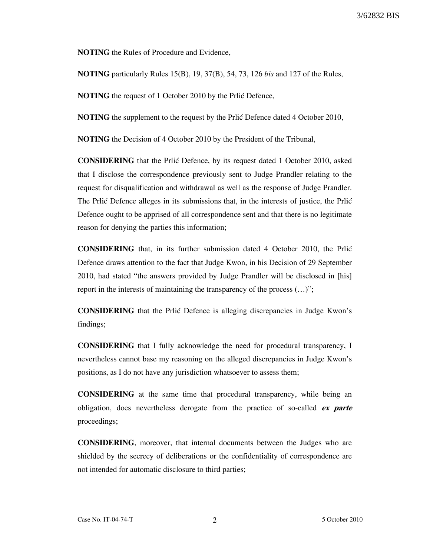NOTING the Rules of Procedure and Evidence,

NOTING particularly Rules 15(B), 19, 37(B), 54, 73, 126 bis and 127 of the Rules,

NOTING the request of 1 October 2010 by the Prlić Defence,

NOTING the supplement to the request by the Prlić Defence dated 4 October 2010,

NOTING the Decision of 4 October 2010 by the President of the Tribunal,

CONSIDERING that the Prlić Defence, by its request dated 1 October 2010, asked that I disclose the correspondence previously sent to Judge Prandler relating to the request for disqualification and withdrawal as well as the response of Judge Prandler. The Prlić Defence alleges in its submissions that, in the interests of justice, the Prlić Defence ought to be apprised of all correspondence sent and that there is no legitimate reason for denying the parties this information;

CONSIDERING that, in its further submission dated 4 October 2010, the Prlić Defence draws attention to the fact that Judge Kwon, in his Decision of 29 September 2010, had stated "the answers provided by Judge Prandler will be disclosed in [his] report in the interests of maintaining the transparency of the process (…)";

CONSIDERING that the Prlić Defence is alleging discrepancies in Judge Kwon's findings;

CONSIDERING that I fully acknowledge the need for procedural transparency, I nevertheless cannot base my reasoning on the alleged discrepancies in Judge Kwon's positions, as I do not have any jurisdiction whatsoever to assess them;

CONSIDERING at the same time that procedural transparency, while being an obligation, does nevertheless derogate from the practice of so-called  $ex$  parte proceedings;

CONSIDERING, moreover, that internal documents between the Judges who are shielded by the secrecy of deliberations or the confidentiality of correspondence are not intended for automatic disclosure to third parties;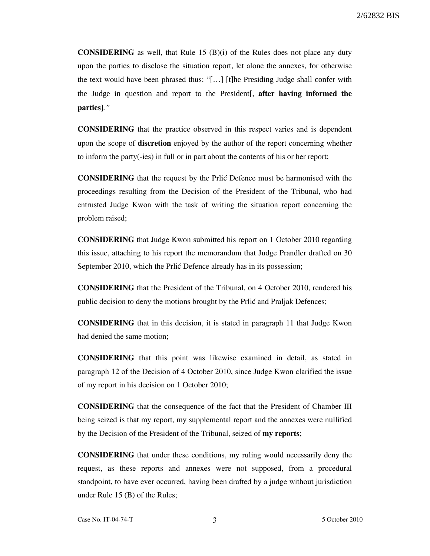**CONSIDERING** as well, that Rule 15  $(B)(i)$  of the Rules does not place any duty upon the parties to disclose the situation report, let alone the annexes, for otherwise the text would have been phrased thus: "[…] [t]he Presiding Judge shall confer with the Judge in question and report to the President. **after having informed the** parties]."

CONSIDERING that the practice observed in this respect varies and is dependent upon the scope of **discretion** enjoyed by the author of the report concerning whether to inform the party(-ies) in full or in part about the contents of his or her report;

CONSIDERING that the request by the Prlić Defence must be harmonised with the proceedings resulting from the Decision of the President of the Tribunal, who had entrusted Judge Kwon with the task of writing the situation report concerning the problem raised;

CONSIDERING that Judge Kwon submitted his report on 1 October 2010 regarding this issue, attaching to his report the memorandum that Judge Prandler drafted on 30 September 2010, which the Prlić Defence already has in its possession;

CONSIDERING that the President of the Tribunal, on 4 October 2010, rendered his public decision to deny the motions brought by the Prlić and Praljak Defences;

CONSIDERING that in this decision, it is stated in paragraph 11 that Judge Kwon had denied the same motion;

CONSIDERING that this point was likewise examined in detail, as stated in paragraph 12 of the Decision of 4 October 2010, since Judge Kwon clarified the issue of my report in his decision on 1 October 2010;

CONSIDERING that the consequence of the fact that the President of Chamber III being seized is that my report, my supplemental report and the annexes were nullified by the Decision of the President of the Tribunal, seized of my reports;

CONSIDERING that under these conditions, my ruling would necessarily deny the request, as these reports and annexes were not supposed, from a procedural standpoint, to have ever occurred, having been drafted by a judge without jurisdiction under Rule 15 (B) of the Rules;